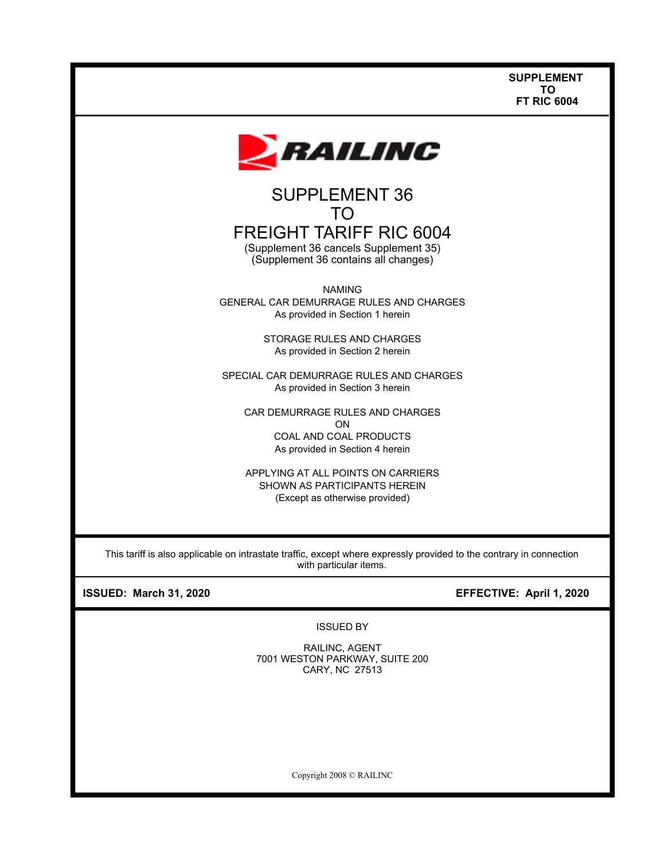

# TO FREIGHT TARIFF RIC 6004

(Supplement 36 cancels Supplement 35) (Supplement 36 contains all changes)

NAMING GENERAL CAR DEMURRAGE RULES AND CHARGES As provided in Section 1 herein

> STORAGE RULES AND CHARGES As provided in Section 2 herein

SPECIAL CAR DEMURRAGE RULES AND CHARGES As provided in Section 3 herein

CAR DEMURRAGE RULES AND CHARGES ON COAL AND COAL PRODUCTS As provided in Section 4 herein

APPLYING AT ALL POINTS ON CARRIERS SHOWN AS PARTICIPANTS HEREIN (Except as otherwise provided)

This tariff is also applicable on intrastate traffic, except where expressly provided to the contrary in connection with particular items.

# **ISSUED: March 31, 2020 EFFECTIVE: April 1, 2020**

ISSUED BY

RAILINC, AGENT 7001 WESTON PARKWAY, SUITE 200 CARY, NC 27513

Copyright 2008 © RAILINC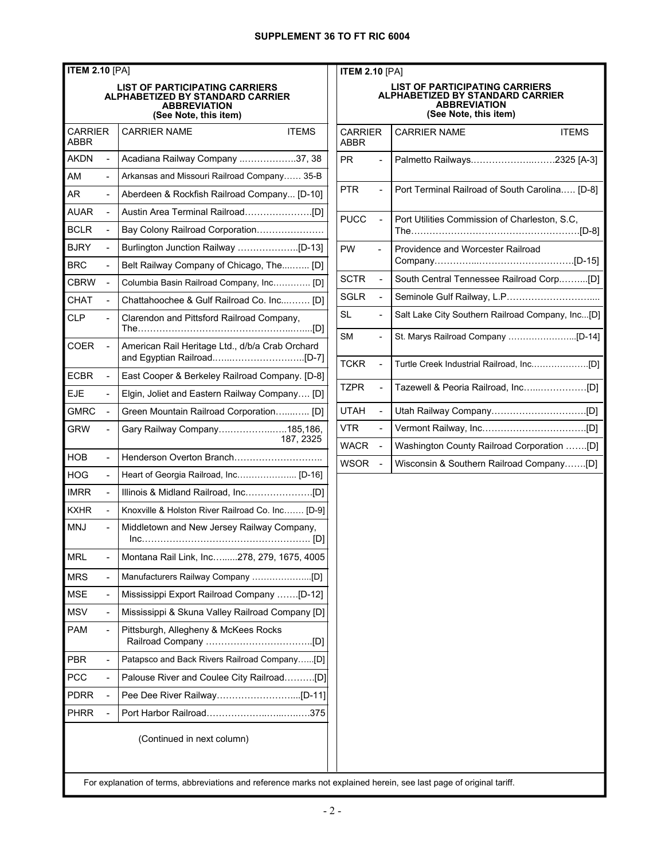| <b>ITEM 2.10 [PA]</b><br><b>ITEM</b> |                          |                                                                                                                           |                     |
|--------------------------------------|--------------------------|---------------------------------------------------------------------------------------------------------------------------|---------------------|
|                                      |                          | <b>LIST OF PARTICIPATING CARRIERS</b><br>ALPHABETIZED BY STANDARD CARRIER<br><b>ABBREVIATION</b><br>(See Note, this item) |                     |
| CARRIER<br><b>ABBR</b>               |                          | <b>ITEMS</b><br><b>CARRIER NAME</b>                                                                                       | CARF<br>ABBR        |
| <b>AKDN</b>                          | ÷,                       | Acadiana Railway Company 37, 38                                                                                           | <b>PR</b>           |
| AM                                   | $\blacksquare$           | Arkansas and Missouri Railroad Company 35-B                                                                               |                     |
| AR.                                  |                          | Aberdeen & Rockfish Railroad Company [D-10]                                                                               | PTR.                |
| <b>AUAR</b>                          | ÷,                       |                                                                                                                           | <b>PUCC</b>         |
| <b>BCLR</b>                          | L,                       | Bay Colony Railroad Corporation                                                                                           |                     |
| <b>BJRY</b>                          |                          |                                                                                                                           | <b>PW</b>           |
| <b>BRC</b>                           | ÷,                       | Belt Railway Company of Chicago, The [D]                                                                                  |                     |
| CBRW                                 | L,                       | Columbia Basin Railroad Company, Inc [D]                                                                                  | <b>SCTR</b>         |
| <b>CHAT</b>                          | ÷                        | Chattahoochee & Gulf Railroad Co. Inc [D]                                                                                 | <b>SGLR</b>         |
| <b>CLP</b>                           |                          | Clarendon and Pittsford Railroad Company,<br>The……………………………………………………………………[D]                                             | SL<br><b>SM</b>     |
| <b>COER</b>                          | ä,                       | American Rail Heritage Ltd., d/b/a Crab Orchard                                                                           | <b>TCKR</b>         |
| <b>ECBR</b>                          | L,                       | East Cooper & Berkeley Railroad Company. [D-8]                                                                            |                     |
| <b>EJE</b>                           | $\overline{\phantom{0}}$ | Elgin, Joliet and Eastern Railway Company [D]                                                                             | TZPR                |
| <b>GMRC</b>                          |                          | Green Mountain Railroad Corporation [D]                                                                                   | <b>UTAH</b>         |
| <b>GRW</b>                           |                          | Gary Railway Company185,186,<br>187, 2325                                                                                 | VTR.<br><b>WACF</b> |
| HOB                                  | ÷                        | Henderson Overton Branch                                                                                                  | <b>WSOF</b>         |
| HOG                                  | $\overline{a}$           | Heart of Georgia Railroad, Inc [D-16]                                                                                     |                     |
| <b>IMRR</b>                          | ä,                       |                                                                                                                           |                     |
| <b>KXHR</b>                          | $\overline{a}$           | Knoxville & Holston River Railroad Co. Inc [D-9]                                                                          |                     |
| <b>MNJ</b>                           |                          | Middletown and New Jersey Railway Company,                                                                                |                     |
| <b>MRL</b>                           |                          | Montana Rail Link, Inc278, 279, 1675, 4005                                                                                |                     |
| <b>MRS</b>                           | ä,                       |                                                                                                                           |                     |
| <b>MSE</b>                           | ä,                       | Mississippi Export Railroad Company [D-12]                                                                                |                     |
| MSV                                  |                          | Mississippi & Skuna Valley Railroad Company [D]                                                                           |                     |
| <b>PAM</b>                           | $\overline{\phantom{0}}$ | Pittsburgh, Allegheny & McKees Rocks                                                                                      |                     |
| <b>PBR</b>                           | ÷,                       | Patapsco and Back Rivers Railroad Company[D]                                                                              |                     |
| <b>PCC</b>                           |                          | Palouse River and Coulee City Railroad[D]                                                                                 |                     |
| <b>PDRR</b>                          | ÷,                       |                                                                                                                           |                     |
| <b>PHRR</b>                          | ÷,                       |                                                                                                                           |                     |
|                                      |                          | (Continued in next column)                                                                                                |                     |

| <b>ITEM 2.10 [PA]</b>                                                                                              |                |                                                                               |
|--------------------------------------------------------------------------------------------------------------------|----------------|-------------------------------------------------------------------------------|
| LIST OF PARTICIPATING CARRIERS<br>ALPHABETIZED BY STANDARD CARRIER<br><b>ABBREVIATION</b><br>(See Note, this item) |                |                                                                               |
| CARRIER<br>ABBR                                                                                                    |                | <b>CARRIER NAME</b><br><b>ITFMS</b>                                           |
| <b>PR</b>                                                                                                          |                | Palmetto Railways2325 [A-3]                                                   |
| <b>PTR</b>                                                                                                         |                | Port Terminal Railroad of South Carolina [D-8]                                |
| <b>PUCC</b>                                                                                                        |                | Port Utilities Commission of Charleston, S.C,<br>The……………………………………………………[D-8] |
| <b>PW</b>                                                                                                          |                | Providence and Worcester Railroad                                             |
| <b>SCTR</b>                                                                                                        |                | South Central Tennessee Railroad Corp[D]                                      |
| <b>SGLR</b>                                                                                                        | ÷,             | Seminole Gulf Railway, L.P                                                    |
| <b>SL</b>                                                                                                          |                | Salt Lake City Southern Railroad Company, Inc[D]                              |
| <b>SM</b>                                                                                                          |                | St. Marys Railroad Company [D-14]                                             |
| <b>TCKR</b>                                                                                                        | $\overline{a}$ |                                                                               |
| <b>TZPR</b>                                                                                                        |                |                                                                               |
| <b>UTAH</b>                                                                                                        | ÷,             |                                                                               |
| VTR                                                                                                                |                |                                                                               |
| <b>WACR</b>                                                                                                        | ÷,             | Washington County Railroad Corporation [D]                                    |
| <b>WSOR</b>                                                                                                        | ÷,             | Wisconsin & Southern Railroad Company[D]                                      |
|                                                                                                                    |                |                                                                               |

 $\mathbf{||}$ 

For explanation of terms, abbreviations and reference marks not explained herein, see last page of original tariff.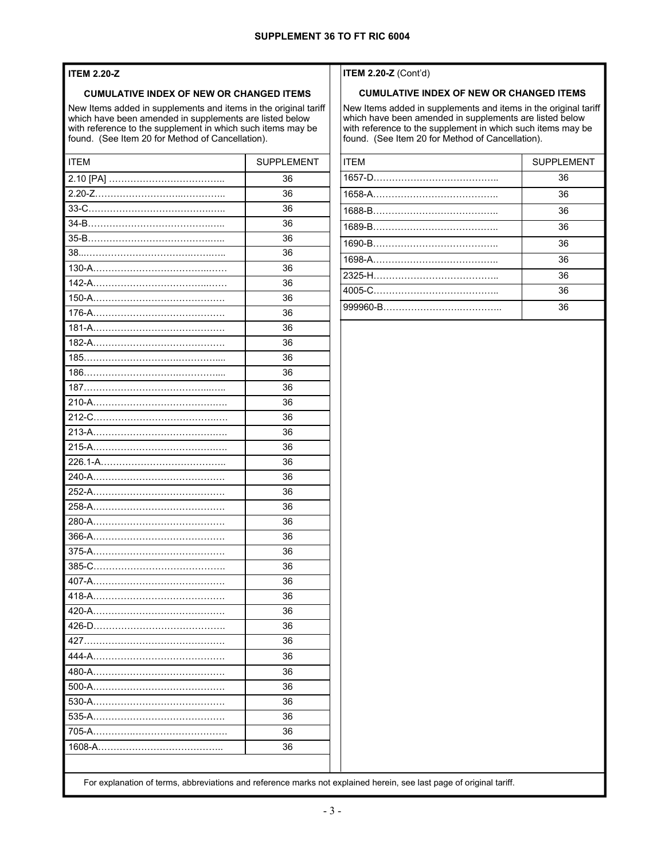#### **ITEM 2.20-Z**

#### **CUMULATIVE INDEX OF NEW OR CHANGED ITEMS**

New Items added in supplements and items in the original tariff which have been amended in supplements are listed below with reference to the supplement in which such items may be found. (See Item 20 for Method of Cancellation).

| <b>ITEM</b>        | <b>SUPPLEMENT</b> |  |
|--------------------|-------------------|--|
|                    | 36                |  |
|                    | 36                |  |
|                    | 36                |  |
|                    | 36                |  |
|                    | 36                |  |
|                    | 36                |  |
|                    | 36                |  |
|                    | 36                |  |
|                    | 36                |  |
|                    | 36                |  |
|                    | 36                |  |
|                    | 36                |  |
|                    | 36                |  |
|                    | 36                |  |
|                    | 36                |  |
|                    | 36                |  |
|                    | 36                |  |
|                    | 36                |  |
|                    | 36                |  |
|                    | 36                |  |
|                    | 36                |  |
|                    | 36                |  |
|                    | 36                |  |
|                    | 36                |  |
|                    | 36                |  |
|                    | 36                |  |
|                    | 36                |  |
|                    | 36                |  |
|                    | 36                |  |
|                    | 36                |  |
|                    | 36                |  |
| 427                | 36                |  |
|                    | 36                |  |
| 480-A………………………………… | 36                |  |
| 500-A              | 36                |  |
|                    | 36                |  |
|                    | 36                |  |
| 705-A              | 36                |  |
|                    | 36                |  |
|                    |                   |  |
|                    |                   |  |

#### **ITEM 2.20-Z** (Cont'd)

#### **CUMULATIVE INDEX OF NEW OR CHANGED ITEMS**

New Items added in supplements and items in the original tariff which have been amended in supplements are listed below with reference to the supplement in which such items may be found. (See Item 20 for Method of Cancellation).

| <b>ITFM</b> | <b>SUPPLEMENT</b> |
|-------------|-------------------|
|             | 36                |
|             | 36                |
|             | 36                |
|             | 36                |
|             | 36                |
|             | 36                |
|             | 36                |
|             | 36                |
|             | 36                |

For explanation of terms, abbreviations and reference marks not explained herein, see last page of original tariff.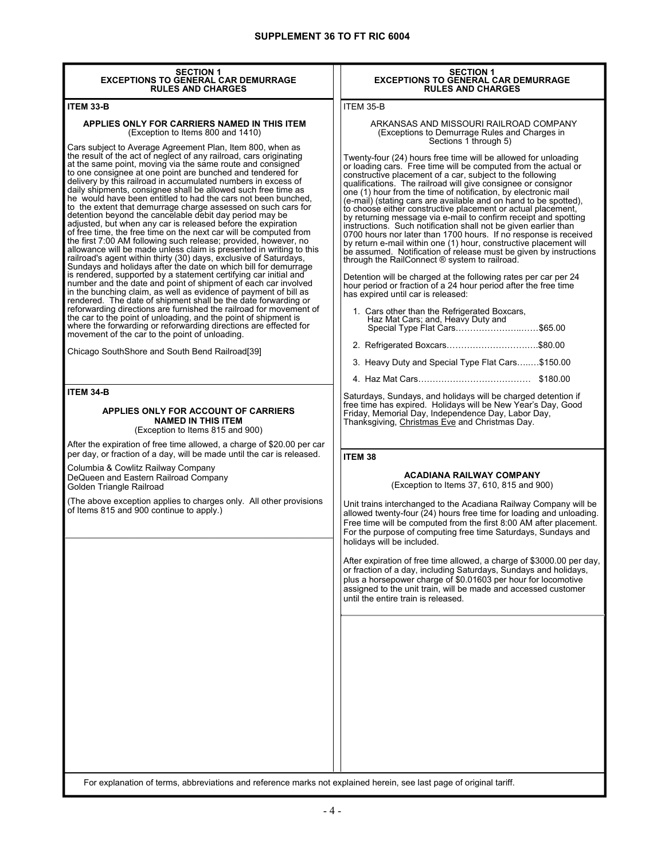| <b>SECTION 1</b>                                                                                                                                                                                                                                                                                                                                                                                                                                                                                                                                                                                                                                                                                                                                                                                                                                                                                                                                                                                                                                                                                                                                                                                                                                                                                                                                                                                                                                                                                                                                             | <b>SECTION 1</b>                                                                                                                                                                                                                                                                                                                                                                                                                                                                                                                                                                                                                                                                                                                                                                                                                                                                                                                                                                                                                                                                                                                                                            |
|--------------------------------------------------------------------------------------------------------------------------------------------------------------------------------------------------------------------------------------------------------------------------------------------------------------------------------------------------------------------------------------------------------------------------------------------------------------------------------------------------------------------------------------------------------------------------------------------------------------------------------------------------------------------------------------------------------------------------------------------------------------------------------------------------------------------------------------------------------------------------------------------------------------------------------------------------------------------------------------------------------------------------------------------------------------------------------------------------------------------------------------------------------------------------------------------------------------------------------------------------------------------------------------------------------------------------------------------------------------------------------------------------------------------------------------------------------------------------------------------------------------------------------------------------------------|-----------------------------------------------------------------------------------------------------------------------------------------------------------------------------------------------------------------------------------------------------------------------------------------------------------------------------------------------------------------------------------------------------------------------------------------------------------------------------------------------------------------------------------------------------------------------------------------------------------------------------------------------------------------------------------------------------------------------------------------------------------------------------------------------------------------------------------------------------------------------------------------------------------------------------------------------------------------------------------------------------------------------------------------------------------------------------------------------------------------------------------------------------------------------------|
| <b>EXCEPTIONS TO GENERAL CAR DEMURRAGE</b><br><b>RULES AND CHARGES</b>                                                                                                                                                                                                                                                                                                                                                                                                                                                                                                                                                                                                                                                                                                                                                                                                                                                                                                                                                                                                                                                                                                                                                                                                                                                                                                                                                                                                                                                                                       | <b>EXCEPTIONS TO GENERAL CAR DEMURRAGE</b><br><b>RULES AND CHARGES</b>                                                                                                                                                                                                                                                                                                                                                                                                                                                                                                                                                                                                                                                                                                                                                                                                                                                                                                                                                                                                                                                                                                      |
| <b>ITEM 33-B</b>                                                                                                                                                                                                                                                                                                                                                                                                                                                                                                                                                                                                                                                                                                                                                                                                                                                                                                                                                                                                                                                                                                                                                                                                                                                                                                                                                                                                                                                                                                                                             | ITEM 35-B                                                                                                                                                                                                                                                                                                                                                                                                                                                                                                                                                                                                                                                                                                                                                                                                                                                                                                                                                                                                                                                                                                                                                                   |
| APPLIES ONLY FOR CARRIERS NAMED IN THIS ITEM<br>(Exception to Items 800 and 1410)                                                                                                                                                                                                                                                                                                                                                                                                                                                                                                                                                                                                                                                                                                                                                                                                                                                                                                                                                                                                                                                                                                                                                                                                                                                                                                                                                                                                                                                                            | ARKANSAS AND MISSOURI RAILROAD COMPANY<br>(Exceptions to Demurrage Rules and Charges in<br>Sections 1 through 5)                                                                                                                                                                                                                                                                                                                                                                                                                                                                                                                                                                                                                                                                                                                                                                                                                                                                                                                                                                                                                                                            |
| Cars subject to Average Agreement Plan, Item 800, when as<br>the result of the act of neglect of any railroad, cars originating<br>at the same point, moving via the same route and consigned<br>to one consignee at one point are bunched and tendered for<br>delivery by this railroad in accumulated numbers in excess of<br>daily shipments, consignee shall be allowed such free time as<br>he would have been entitled to had the cars not been bunched,<br>to the extent that demurrage charge assessed on such cars for<br>detention beyond the cancelable debit day period may be<br>adjusted, but when any car is released before the expiration<br>of free time, the free time on the next car will be computed from<br>the first 7:00 AM following such release; provided, however, no<br>allowance will be made unless claim is presented in writing to this<br>railroad's agent within thirty (30) days, exclusive of Saturdays,<br>Sundays and holidays after the date on which bill for demurrage<br>is rendered, supported by a statement certifying car initial and<br>number and the date and point of shipment of each car involved<br>in the bunching claim, as well as evidence of payment of bill as<br>rendered. The date of shipment shall be the date forwarding or<br>reforwarding directions are furnished the railroad for movement of<br>the car to the point of unloading, and the point of shipment is<br>where the forwarding or reforwarding directions are effected for<br>movement of the car to the point of unloading. | Twenty-four (24) hours free time will be allowed for unloading<br>or loading cars. Free time will be computed from the actual or<br>constructive placement of a car, subject to the following<br>qualifications. The railroad will give consignee or consignor<br>one (1) hour from the time of notification. By electronic mail<br>(e-mail) (stating cars are available and on hand to be spotted).<br>to choose either constructive placement or actual placement,<br>by returning message via e-mail to confirm receipt and spotting<br>instructions. Such notification shall not be given earlier than<br>0700 hours nor later than 1700 hours. If no response is received<br>by return e-mail within one (1) hour, constructive placement will<br>be assumed. Notification of release must be given by instructions<br>through the RailConnect ® system to railroad.<br>Detention will be charged at the following rates per car per 24<br>hour period or fraction of a 24 hour period after the free time<br>has expired until car is released:<br>1. Cars other than the Refrigerated Boxcars,<br>Haz Mat Cars; and, Heavy Duty and<br>Special Type Flat Cars\$65.00 |
| Chicago SouthShore and South Bend Railroad[39]                                                                                                                                                                                                                                                                                                                                                                                                                                                                                                                                                                                                                                                                                                                                                                                                                                                                                                                                                                                                                                                                                                                                                                                                                                                                                                                                                                                                                                                                                                               | 2. Refrigerated Boxcars\$80.00                                                                                                                                                                                                                                                                                                                                                                                                                                                                                                                                                                                                                                                                                                                                                                                                                                                                                                                                                                                                                                                                                                                                              |
|                                                                                                                                                                                                                                                                                                                                                                                                                                                                                                                                                                                                                                                                                                                                                                                                                                                                                                                                                                                                                                                                                                                                                                                                                                                                                                                                                                                                                                                                                                                                                              | 3. Heavy Duty and Special Type Flat Cars\$150.00                                                                                                                                                                                                                                                                                                                                                                                                                                                                                                                                                                                                                                                                                                                                                                                                                                                                                                                                                                                                                                                                                                                            |
|                                                                                                                                                                                                                                                                                                                                                                                                                                                                                                                                                                                                                                                                                                                                                                                                                                                                                                                                                                                                                                                                                                                                                                                                                                                                                                                                                                                                                                                                                                                                                              |                                                                                                                                                                                                                                                                                                                                                                                                                                                                                                                                                                                                                                                                                                                                                                                                                                                                                                                                                                                                                                                                                                                                                                             |
| <b>ITEM 34-B</b><br>APPLIES ONLY FOR ACCOUNT OF CARRIERS<br><b>NAMED IN THIS ITEM</b><br>(Exception to Items 815 and 900)<br>After the expiration of free time allowed, a charge of \$20.00 per car                                                                                                                                                                                                                                                                                                                                                                                                                                                                                                                                                                                                                                                                                                                                                                                                                                                                                                                                                                                                                                                                                                                                                                                                                                                                                                                                                          | Saturdays, Sundays, and holidays will be charged detention if<br>free time has expired. Holidays will be New Year's Day, Good<br>Friday, Memorial Day, Independence Day, Labor Day,<br>Thanksgiving, Christmas Eve and Christmas Day.                                                                                                                                                                                                                                                                                                                                                                                                                                                                                                                                                                                                                                                                                                                                                                                                                                                                                                                                       |
| per day, or fraction of a day, will be made until the car is released.                                                                                                                                                                                                                                                                                                                                                                                                                                                                                                                                                                                                                                                                                                                                                                                                                                                                                                                                                                                                                                                                                                                                                                                                                                                                                                                                                                                                                                                                                       | <b>ITEM 38</b>                                                                                                                                                                                                                                                                                                                                                                                                                                                                                                                                                                                                                                                                                                                                                                                                                                                                                                                                                                                                                                                                                                                                                              |
| Columbia & Cowlitz Railway Company<br>DeQueen and Eastern Railroad Company<br>Golden Triangle Railroad                                                                                                                                                                                                                                                                                                                                                                                                                                                                                                                                                                                                                                                                                                                                                                                                                                                                                                                                                                                                                                                                                                                                                                                                                                                                                                                                                                                                                                                       | <b>ACADIANA RAILWAY COMPANY</b><br>(Exception to Items 37, 610, 815 and 900)                                                                                                                                                                                                                                                                                                                                                                                                                                                                                                                                                                                                                                                                                                                                                                                                                                                                                                                                                                                                                                                                                                |
| (The above exception applies to charges only. All other provisions<br>of Items 815 and 900 continue to apply.)                                                                                                                                                                                                                                                                                                                                                                                                                                                                                                                                                                                                                                                                                                                                                                                                                                                                                                                                                                                                                                                                                                                                                                                                                                                                                                                                                                                                                                               | Unit trains interchanged to the Acadiana Railway Company will be<br>allowed twenty-four (24) hours free time for loading and unloading.<br>Free time will be computed from the first 8:00 AM after placement.<br>For the purpose of computing free time Saturdays, Sundays and<br>holidays will be included.<br>After expiration of free time allowed, a charge of \$3000.00 per day,<br>or fraction of a day, including Saturdays, Sundays and holidays,<br>plus a horsepower charge of \$0.01603 per hour for locomotive<br>assigned to the unit train, will be made and accessed customer<br>until the entire train is released.                                                                                                                                                                                                                                                                                                                                                                                                                                                                                                                                         |
| For explanation of terms, abbreviations and reference marks not explained herein, see last page of original tariff.                                                                                                                                                                                                                                                                                                                                                                                                                                                                                                                                                                                                                                                                                                                                                                                                                                                                                                                                                                                                                                                                                                                                                                                                                                                                                                                                                                                                                                          |                                                                                                                                                                                                                                                                                                                                                                                                                                                                                                                                                                                                                                                                                                                                                                                                                                                                                                                                                                                                                                                                                                                                                                             |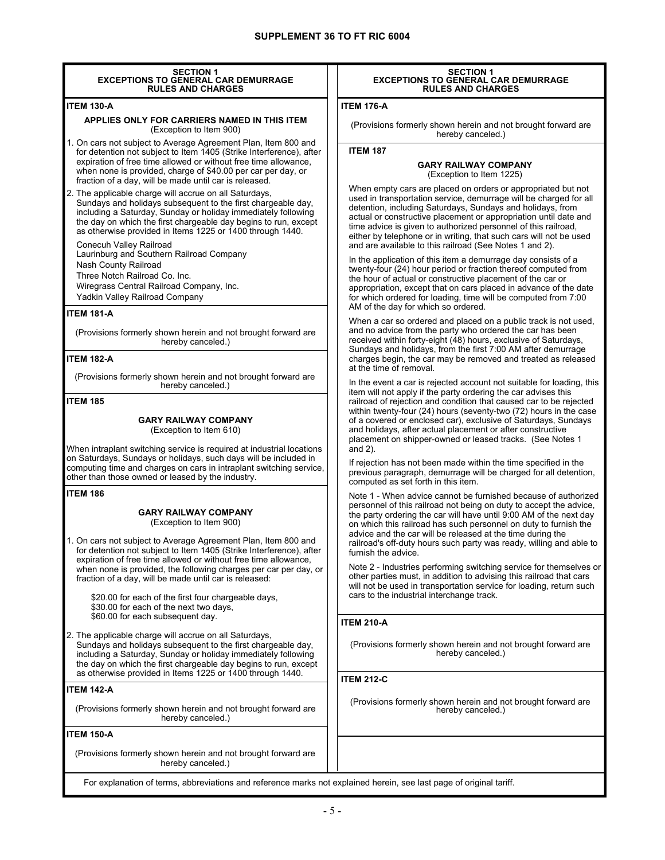| <b>SECTION 1</b><br><b>EXCEPTIONS TO GENERAL CAR DEMURRAGE</b><br><b>RULES AND CHARGES</b>                                                                                                                                                                                                                                                                                                                                                                                                                                                                                                                        | <b>SECTION 1</b><br><b>EXCEPTIONS TO GENERAL CAR DEMURRAGE</b><br><b>RULES AND CHARGES</b>                                                                                                                                                                                                                                                                                                                                                                                                                                                                                                                                                                                                                                       |  |  |
|-------------------------------------------------------------------------------------------------------------------------------------------------------------------------------------------------------------------------------------------------------------------------------------------------------------------------------------------------------------------------------------------------------------------------------------------------------------------------------------------------------------------------------------------------------------------------------------------------------------------|----------------------------------------------------------------------------------------------------------------------------------------------------------------------------------------------------------------------------------------------------------------------------------------------------------------------------------------------------------------------------------------------------------------------------------------------------------------------------------------------------------------------------------------------------------------------------------------------------------------------------------------------------------------------------------------------------------------------------------|--|--|
| <b>ITEM 130-A</b>                                                                                                                                                                                                                                                                                                                                                                                                                                                                                                                                                                                                 | <b>ITEM 176-A</b>                                                                                                                                                                                                                                                                                                                                                                                                                                                                                                                                                                                                                                                                                                                |  |  |
| APPLIES ONLY FOR CARRIERS NAMED IN THIS ITEM<br>(Exception to Item 900)                                                                                                                                                                                                                                                                                                                                                                                                                                                                                                                                           | (Provisions formerly shown herein and not brought forward are<br>hereby canceled.)                                                                                                                                                                                                                                                                                                                                                                                                                                                                                                                                                                                                                                               |  |  |
| 1. On cars not subject to Average Agreement Plan, Item 800 and<br>for detention not subject to Item 1405 (Strike Interference), after<br>expiration of free time allowed or without free time allowance.<br>when none is provided, charge of \$40.00 per car per day, or<br>fraction of a day, will be made until car is released.                                                                                                                                                                                                                                                                                | <b>ITEM 187</b><br><b>GARY RAILWAY COMPANY</b><br>(Exception to Item 1225)                                                                                                                                                                                                                                                                                                                                                                                                                                                                                                                                                                                                                                                       |  |  |
| 2. The applicable charge will accrue on all Saturdays,<br>Sundays and holidays subsequent to the first chargeable day,<br>including a Saturday, Sunday or holiday immediately following<br>the day on which the first chargeable day begins to run, except<br>as otherwise provided in Items 1225 or 1400 through 1440.<br>Conecuh Valley Railroad                                                                                                                                                                                                                                                                | When empty cars are placed on orders or appropriated but not<br>used in transportation service, demurrage will be charged for all<br>detention, including Saturdays, Sundays and holidays, from<br>actual or constructive placement or appropriation until date and<br>time advice is given to authorized personnel of this railroad,<br>either by telephone or in writing, that such cars will not be used<br>and are available to this railroad (See Notes 1 and 2).                                                                                                                                                                                                                                                           |  |  |
| Laurinburg and Southern Railroad Company<br>Nash County Railroad<br>Three Notch Railroad Co. Inc.<br>Wiregrass Central Railroad Company, Inc.<br>Yadkin Valley Railroad Company<br><b>ITEM 181-A</b>                                                                                                                                                                                                                                                                                                                                                                                                              | In the application of this item a demurrage day consists of a<br>twenty-four (24) hour period or fraction thereof computed from<br>the hour of actual or constructive placement of the car or<br>appropriation, except that on cars placed in advance of the date<br>for which ordered for loading, time will be computed from 7:00<br>AM of the day for which so ordered.                                                                                                                                                                                                                                                                                                                                                       |  |  |
| (Provisions formerly shown herein and not brought forward are<br>hereby canceled.)<br><b>ITEM 182-A</b>                                                                                                                                                                                                                                                                                                                                                                                                                                                                                                           | When a car so ordered and placed on a public track is not used,<br>and no advice from the party who ordered the car has been<br>received within forty-eight (48) hours, exclusive of Saturdays,<br>Sundays and holidays, from the first 7:00 AM after demurrage<br>charges begin, the car may be removed and treated as released<br>at the time of removal.<br>In the event a car is rejected account not suitable for loading, this                                                                                                                                                                                                                                                                                             |  |  |
| (Provisions formerly shown herein and not brought forward are<br>hereby canceled.)                                                                                                                                                                                                                                                                                                                                                                                                                                                                                                                                |                                                                                                                                                                                                                                                                                                                                                                                                                                                                                                                                                                                                                                                                                                                                  |  |  |
| <b>ITEM 185</b><br><b>GARY RAILWAY COMPANY</b><br>(Exception to Item 610)<br>When intraplant switching service is required at industrial locations<br>on Saturdays, Sundays or holidays, such days will be included in<br>computing time and charges on cars in intraplant switching service,<br>other than those owned or leased by the industry.                                                                                                                                                                                                                                                                | item will not apply if the party ordering the car advises this<br>railroad of rejection and condition that caused car to be rejected<br>within twenty-four (24) hours (seventy-two (72) hours in the case<br>of a covered or enclosed car), exclusive of Saturdays, Sundays<br>and holidays, after actual placement or after constructive<br>placement on shipper-owned or leased tracks. (See Notes 1<br>and $2$ ).<br>If rejection has not been made within the time specified in the<br>previous paragraph, demurrage will be charged for all detention,<br>computed as set forth in this item.                                                                                                                               |  |  |
| <b>ITEM 186</b><br><b>GARY RAILWAY COMPANY</b><br>(Exception to Item 900)<br>. On cars not subject to Average Agreement Plan, Item 800 and<br>for detention not subject to Item 1405 (Strike Interference), after<br>expiration of free time allowed or without free time allowance,<br>when none is provided, the following charges per car per day, or<br>fraction of a day, will be made until car is released:<br>\$20.00 for each of the first four chargeable days,<br>\$30.00 for each of the next two days,<br>\$60.00 for each subsequent day.<br>2. The applicable charge will accrue on all Saturdays, | Note 1 - When advice cannot be furnished because of authorized<br>personnel of this railroad not being on duty to accept the advice,<br>the party ordering the car will have until 9:00 AM of the next day<br>on which this railroad has such personnel on duty to furnish the<br>advice and the car will be released at the time during the<br>railroad's off-duty hours such party was ready, willing and able to<br>furnish the advice.<br>Note 2 - Industries performing switching service for themselves or<br>other parties must, in addition to advising this railroad that cars<br>will not be used in transportation service for loading, return such<br>cars to the industrial interchange track.<br><b>ITEM 210-A</b> |  |  |
| Sundays and holidays subsequent to the first chargeable day,<br>including a Saturday, Sunday or holiday immediately following<br>the day on which the first chargeable day begins to run, except<br>as otherwise provided in Items 1225 or 1400 through 1440.                                                                                                                                                                                                                                                                                                                                                     | (Provisions formerly shown herein and not brought forward are<br>hereby canceled.)<br><b>ITEM 212-C</b>                                                                                                                                                                                                                                                                                                                                                                                                                                                                                                                                                                                                                          |  |  |
| <b>ITEM 142-A</b><br>(Provisions formerly shown herein and not brought forward are<br>hereby canceled.)                                                                                                                                                                                                                                                                                                                                                                                                                                                                                                           | (Provisions formerly shown herein and not brought forward are<br>hereby canceled.)                                                                                                                                                                                                                                                                                                                                                                                                                                                                                                                                                                                                                                               |  |  |
| <b>ITEM 150-A</b>                                                                                                                                                                                                                                                                                                                                                                                                                                                                                                                                                                                                 |                                                                                                                                                                                                                                                                                                                                                                                                                                                                                                                                                                                                                                                                                                                                  |  |  |
| (Provisions formerly shown herein and not brought forward are<br>hereby canceled.)                                                                                                                                                                                                                                                                                                                                                                                                                                                                                                                                |                                                                                                                                                                                                                                                                                                                                                                                                                                                                                                                                                                                                                                                                                                                                  |  |  |

I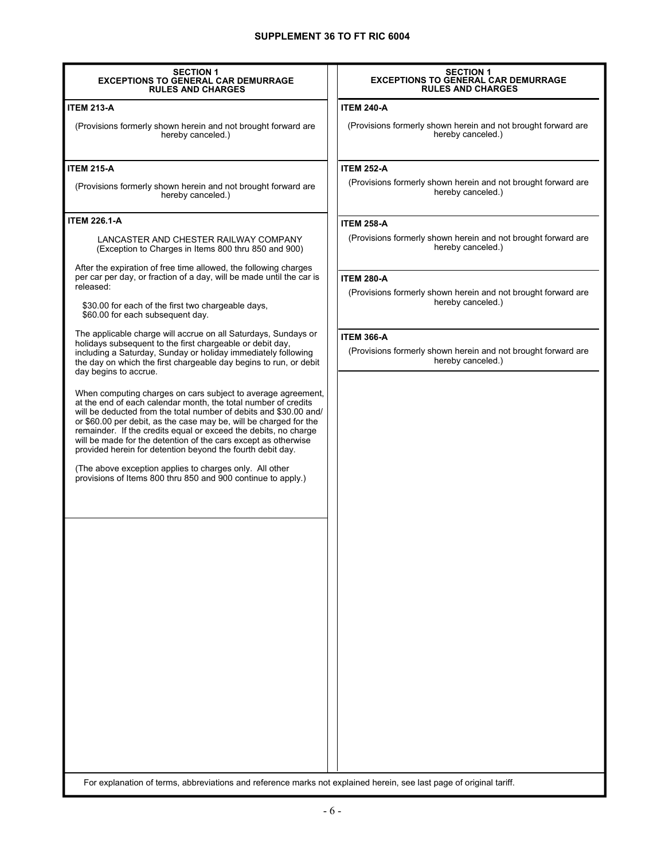| <b>SECTION 1</b><br><b>EXCEPTIONS TO GENERAL CAR DEMURRAGE</b><br><b>RULES AND CHARGES</b>                                                                                                                                                                                                                                                                                                                                                                                  | <b>SECTION 1</b><br><b>EXCEPTIONS TO GENERAL CAR DEMURRAGE</b><br><b>RULES AND CHARGES</b> |
|-----------------------------------------------------------------------------------------------------------------------------------------------------------------------------------------------------------------------------------------------------------------------------------------------------------------------------------------------------------------------------------------------------------------------------------------------------------------------------|--------------------------------------------------------------------------------------------|
| <b>ITEM 213-A</b>                                                                                                                                                                                                                                                                                                                                                                                                                                                           | <b>ITEM 240-A</b>                                                                          |
| (Provisions formerly shown herein and not brought forward are<br>hereby canceled.)                                                                                                                                                                                                                                                                                                                                                                                          | (Provisions formerly shown herein and not brought forward are<br>hereby canceled.)         |
| <b>ITEM 215-A</b>                                                                                                                                                                                                                                                                                                                                                                                                                                                           | <b>ITEM 252-A</b>                                                                          |
| (Provisions formerly shown herein and not brought forward are<br>hereby canceled.)                                                                                                                                                                                                                                                                                                                                                                                          | (Provisions formerly shown herein and not brought forward are<br>hereby canceled.)         |
| <b>ITEM 226.1-A</b>                                                                                                                                                                                                                                                                                                                                                                                                                                                         | <b>ITEM 258-A</b>                                                                          |
| LANCASTER AND CHESTER RAILWAY COMPANY<br>(Exception to Charges in Items 800 thru 850 and 900)                                                                                                                                                                                                                                                                                                                                                                               | (Provisions formerly shown herein and not brought forward are<br>hereby canceled.)         |
| After the expiration of free time allowed, the following charges<br>per car per day, or fraction of a day, will be made until the car is                                                                                                                                                                                                                                                                                                                                    | <b>ITEM 280-A</b>                                                                          |
| released:                                                                                                                                                                                                                                                                                                                                                                                                                                                                   | (Provisions formerly shown herein and not brought forward are                              |
| \$30.00 for each of the first two chargeable days,<br>\$60.00 for each subsequent day.                                                                                                                                                                                                                                                                                                                                                                                      | hereby canceled.)                                                                          |
| The applicable charge will accrue on all Saturdays, Sundays or                                                                                                                                                                                                                                                                                                                                                                                                              | <b>ITEM 366-A</b>                                                                          |
| holidays subsequent to the first chargeable or debit day,<br>including a Saturday, Sunday or holiday immediately following<br>the day on which the first chargeable day begins to run, or debit<br>day begins to accrue.                                                                                                                                                                                                                                                    | (Provisions formerly shown herein and not brought forward are<br>hereby canceled.)         |
| When computing charges on cars subject to average agreement,<br>at the end of each calendar month, the total number of credits<br>will be deducted from the total number of debits and \$30.00 and/<br>or \$60.00 per debit, as the case may be, will be charged for the<br>remainder. If the credits equal or exceed the debits, no charge<br>will be made for the detention of the cars except as otherwise<br>provided herein for detention beyond the fourth debit day. |                                                                                            |
| (The above exception applies to charges only. All other<br>provisions of Items 800 thru 850 and 900 continue to apply.)                                                                                                                                                                                                                                                                                                                                                     |                                                                                            |
|                                                                                                                                                                                                                                                                                                                                                                                                                                                                             |                                                                                            |
|                                                                                                                                                                                                                                                                                                                                                                                                                                                                             |                                                                                            |
|                                                                                                                                                                                                                                                                                                                                                                                                                                                                             |                                                                                            |
|                                                                                                                                                                                                                                                                                                                                                                                                                                                                             |                                                                                            |
|                                                                                                                                                                                                                                                                                                                                                                                                                                                                             |                                                                                            |
|                                                                                                                                                                                                                                                                                                                                                                                                                                                                             |                                                                                            |
|                                                                                                                                                                                                                                                                                                                                                                                                                                                                             |                                                                                            |
|                                                                                                                                                                                                                                                                                                                                                                                                                                                                             |                                                                                            |
|                                                                                                                                                                                                                                                                                                                                                                                                                                                                             |                                                                                            |
|                                                                                                                                                                                                                                                                                                                                                                                                                                                                             |                                                                                            |
|                                                                                                                                                                                                                                                                                                                                                                                                                                                                             |                                                                                            |
|                                                                                                                                                                                                                                                                                                                                                                                                                                                                             |                                                                                            |
|                                                                                                                                                                                                                                                                                                                                                                                                                                                                             |                                                                                            |
| For explanation of terms, abbreviations and reference marks not explained herein, see last page of original tariff.                                                                                                                                                                                                                                                                                                                                                         |                                                                                            |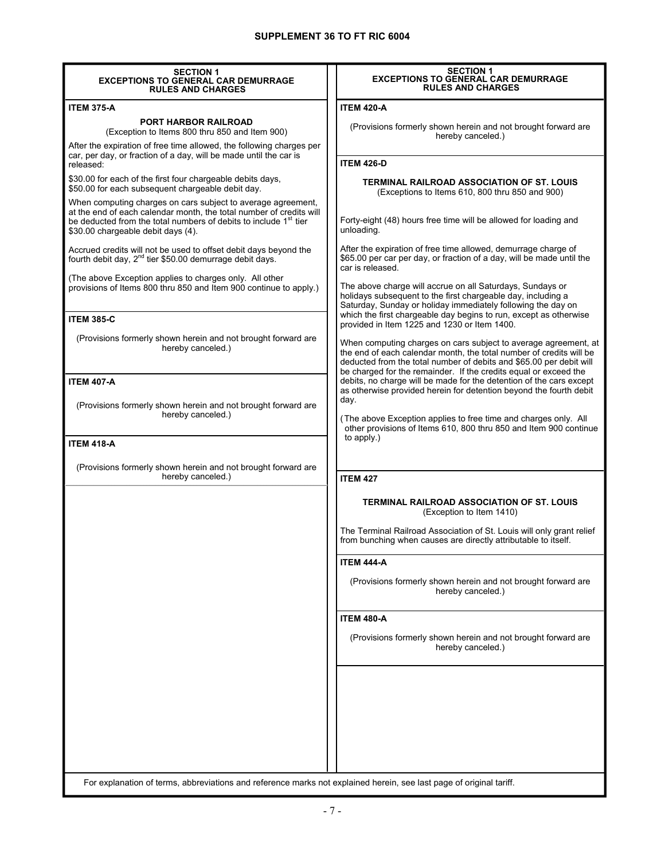| <b>SECTION 1</b><br><b>EXCEPTIONS TO GENERAL CAR DEMURRAGE</b>                                                                                                                                                                                | <b>SECTION 1</b><br><b>EXCEPTIONS TO GENERAL CAR DEMURRAGE</b>                                                                                                                                                                                                                                                                                           |  |  |
|-----------------------------------------------------------------------------------------------------------------------------------------------------------------------------------------------------------------------------------------------|----------------------------------------------------------------------------------------------------------------------------------------------------------------------------------------------------------------------------------------------------------------------------------------------------------------------------------------------------------|--|--|
| <b>RULES AND CHARGES</b>                                                                                                                                                                                                                      | <b>RULES AND CHARGES</b>                                                                                                                                                                                                                                                                                                                                 |  |  |
| <b>ITEM 375-A</b>                                                                                                                                                                                                                             | <b>ITEM 420-A</b>                                                                                                                                                                                                                                                                                                                                        |  |  |
| <b>PORT HARBOR RAILROAD</b><br>(Exception to Items 800 thru 850 and Item 900)                                                                                                                                                                 | (Provisions formerly shown herein and not brought forward are<br>hereby canceled.)                                                                                                                                                                                                                                                                       |  |  |
| After the expiration of free time allowed, the following charges per<br>car, per day, or fraction of a day, will be made until the car is<br>released:                                                                                        | <b>ITEM 426-D</b>                                                                                                                                                                                                                                                                                                                                        |  |  |
| \$30.00 for each of the first four chargeable debits days,<br>\$50.00 for each subsequent chargeable debit day.                                                                                                                               | TERMINAL RAILROAD ASSOCIATION OF ST. LOUIS<br>(Exceptions to Items 610, 800 thru 850 and 900)                                                                                                                                                                                                                                                            |  |  |
| When computing charges on cars subject to average agreement,<br>at the end of each calendar month, the total number of credits will<br>be deducted from the total numbers of debits to include 1st tier<br>\$30.00 chargeable debit days (4). | Forty-eight (48) hours free time will be allowed for loading and<br>unloading.                                                                                                                                                                                                                                                                           |  |  |
| Accrued credits will not be used to offset debit days beyond the<br>fourth debit day, 2 <sup>nd</sup> tier \$50.00 demurrage debit days.                                                                                                      | After the expiration of free time allowed, demurrage charge of<br>\$65.00 per car per day, or fraction of a day, will be made until the<br>car is released.<br>The above charge will accrue on all Saturdays, Sundays or<br>holidays subsequent to the first chargeable day, including a<br>Saturday, Sunday or holiday immediately following the day on |  |  |
| (The above Exception applies to charges only. All other<br>provisions of Items 800 thru 850 and Item 900 continue to apply.)                                                                                                                  |                                                                                                                                                                                                                                                                                                                                                          |  |  |
| <b>ITEM 385-C</b>                                                                                                                                                                                                                             | which the first chargeable day begins to run, except as otherwise<br>provided in Item 1225 and 1230 or Item 1400.                                                                                                                                                                                                                                        |  |  |
| (Provisions formerly shown herein and not brought forward are<br>hereby canceled.)                                                                                                                                                            | When computing charges on cars subject to average agreement, at<br>the end of each calendar month, the total number of credits will be<br>deducted from the total number of debits and \$65.00 per debit will<br>be charged for the remainder. If the credits equal or exceed the                                                                        |  |  |
| <b>ITEM 407-A</b>                                                                                                                                                                                                                             | debits, no charge will be made for the detention of the cars except<br>as otherwise provided herein for detention beyond the fourth debit                                                                                                                                                                                                                |  |  |
| (Provisions formerly shown herein and not brought forward are<br>hereby canceled.)                                                                                                                                                            | day.<br>(The above Exception applies to free time and charges only. All<br>other provisions of Items 610, 800 thru 850 and Item 900 continue                                                                                                                                                                                                             |  |  |
| <b>ITEM 418-A</b>                                                                                                                                                                                                                             | to apply.)                                                                                                                                                                                                                                                                                                                                               |  |  |
| (Provisions formerly shown herein and not brought forward are<br>hereby canceled.)                                                                                                                                                            | <b>ITEM 427</b>                                                                                                                                                                                                                                                                                                                                          |  |  |
|                                                                                                                                                                                                                                               |                                                                                                                                                                                                                                                                                                                                                          |  |  |
|                                                                                                                                                                                                                                               | TERMINAL RAILROAD ASSOCIATION OF ST. LOUIS<br>(Exception to Item 1410)                                                                                                                                                                                                                                                                                   |  |  |
|                                                                                                                                                                                                                                               | The Terminal Railroad Association of St. Louis will only grant relief<br>from bunching when causes are directly attributable to itself.                                                                                                                                                                                                                  |  |  |
|                                                                                                                                                                                                                                               | <b>ITEM 444-A</b>                                                                                                                                                                                                                                                                                                                                        |  |  |
|                                                                                                                                                                                                                                               | (Provisions formerly shown herein and not brought forward are<br>hereby canceled.)                                                                                                                                                                                                                                                                       |  |  |
|                                                                                                                                                                                                                                               | <b>ITEM 480-A</b>                                                                                                                                                                                                                                                                                                                                        |  |  |
|                                                                                                                                                                                                                                               | (Provisions formerly shown herein and not brought forward are<br>hereby canceled.)                                                                                                                                                                                                                                                                       |  |  |
|                                                                                                                                                                                                                                               |                                                                                                                                                                                                                                                                                                                                                          |  |  |
|                                                                                                                                                                                                                                               |                                                                                                                                                                                                                                                                                                                                                          |  |  |
|                                                                                                                                                                                                                                               |                                                                                                                                                                                                                                                                                                                                                          |  |  |
|                                                                                                                                                                                                                                               |                                                                                                                                                                                                                                                                                                                                                          |  |  |
| For explanation of terms, abbreviations and reference marks not explained herein, see last page of original tariff.                                                                                                                           |                                                                                                                                                                                                                                                                                                                                                          |  |  |

- 7 -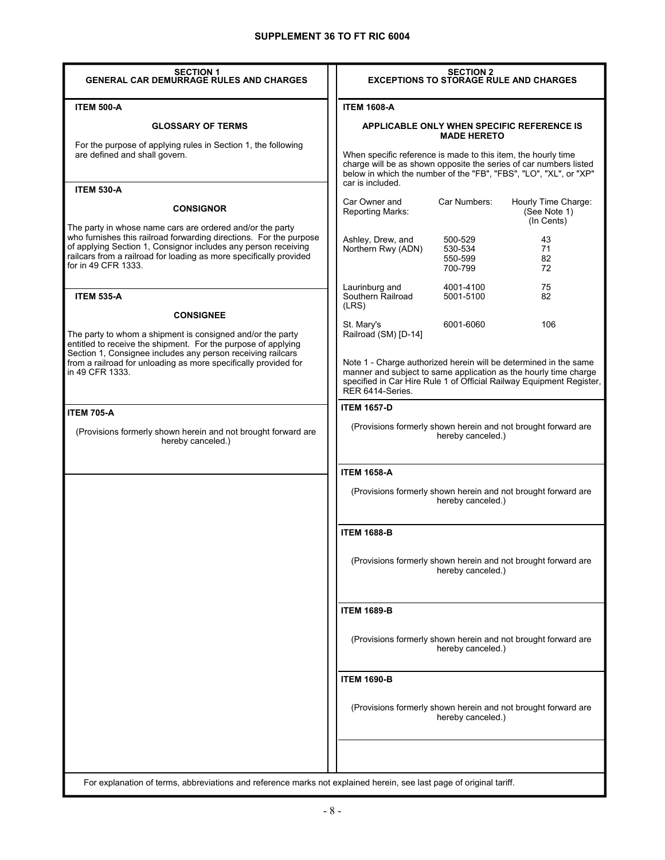| <b>SECTION 1</b><br><b>GENERAL CAR DEMURRAGE RULES AND CHARGES</b>                                                                                                                                                                                                                             |                                                                                                                                                                                                                                  | <b>SECTION 2</b>                         | <b>EXCEPTIONS TO STORAGE RULE AND CHARGES</b>                                                                                          |
|------------------------------------------------------------------------------------------------------------------------------------------------------------------------------------------------------------------------------------------------------------------------------------------------|----------------------------------------------------------------------------------------------------------------------------------------------------------------------------------------------------------------------------------|------------------------------------------|----------------------------------------------------------------------------------------------------------------------------------------|
| <b>ITEM 500-A</b>                                                                                                                                                                                                                                                                              | <b>ITEM 1608-A</b>                                                                                                                                                                                                               |                                          |                                                                                                                                        |
| <b>GLOSSARY OF TERMS</b>                                                                                                                                                                                                                                                                       |                                                                                                                                                                                                                                  | <b>MADE HERETO</b>                       | <b>APPLICABLE ONLY WHEN SPECIFIC REFERENCE IS</b>                                                                                      |
| For the purpose of applying rules in Section 1, the following<br>are defined and shall govern.                                                                                                                                                                                                 | When specific reference is made to this item, the hourly time<br>car is included.                                                                                                                                                |                                          | charge will be as shown opposite the series of car numbers listed<br>below in which the number of the "FB", "FBS", "LO", "XL", or "XP" |
| <b>ITEM 530-A</b><br><b>CONSIGNOR</b>                                                                                                                                                                                                                                                          | Car Owner and<br>Reporting Marks:                                                                                                                                                                                                | Car Numbers:                             | Hourly Time Charge:<br>(See Note 1)<br>(In Cents)                                                                                      |
| The party in whose name cars are ordered and/or the party<br>who furnishes this railroad forwarding directions. For the purpose<br>of applying Section 1, Consignor includes any person receiving<br>railcars from a railroad for loading as more specifically provided<br>for in 49 CFR 1333. | Ashley, Drew, and<br>Northern Rwy (ADN)                                                                                                                                                                                          | 500-529<br>530-534<br>550-599<br>700-799 | 43<br>71<br>82<br>72                                                                                                                   |
| <b>ITEM 535-A</b>                                                                                                                                                                                                                                                                              | Laurinburg and<br>Southern Railroad<br>(LRS)                                                                                                                                                                                     | 4001-4100<br>5001-5100                   | 75<br>82                                                                                                                               |
| <b>CONSIGNEE</b><br>The party to whom a shipment is consigned and/or the party<br>entitled to receive the shipment. For the purpose of applying                                                                                                                                                | St. Mary's<br>Railroad (SM) [D-14]                                                                                                                                                                                               | 6001-6060                                | 106                                                                                                                                    |
| Section 1, Consignee includes any person receiving railcars<br>from a railroad for unloading as more specifically provided for<br>in 49 CFR 1333.                                                                                                                                              | Note 1 - Charge authorized herein will be determined in the same<br>manner and subject to same application as the hourly time charge<br>specified in Car Hire Rule 1 of Official Railway Equipment Register,<br>RER 6414-Series. |                                          |                                                                                                                                        |
| <b>ITEM 705-A</b>                                                                                                                                                                                                                                                                              | <b>ITEM 1657-D</b>                                                                                                                                                                                                               |                                          |                                                                                                                                        |
| (Provisions formerly shown herein and not brought forward are<br>hereby canceled.)                                                                                                                                                                                                             |                                                                                                                                                                                                                                  | hereby canceled.)                        | (Provisions formerly shown herein and not brought forward are                                                                          |
|                                                                                                                                                                                                                                                                                                | <b>ITEM 1658-A</b>                                                                                                                                                                                                               |                                          |                                                                                                                                        |
|                                                                                                                                                                                                                                                                                                |                                                                                                                                                                                                                                  | hereby canceled.)                        | (Provisions formerly shown herein and not brought forward are                                                                          |
|                                                                                                                                                                                                                                                                                                | <b>ITEM 1688-B</b>                                                                                                                                                                                                               |                                          |                                                                                                                                        |
|                                                                                                                                                                                                                                                                                                |                                                                                                                                                                                                                                  | hereby canceled.)                        | (Provisions formerly shown herein and not brought forward are                                                                          |
|                                                                                                                                                                                                                                                                                                | <b>ITEM 1689-B</b>                                                                                                                                                                                                               |                                          |                                                                                                                                        |
|                                                                                                                                                                                                                                                                                                |                                                                                                                                                                                                                                  | hereby canceled.)                        | (Provisions formerly shown herein and not brought forward are                                                                          |
|                                                                                                                                                                                                                                                                                                | <b>ITEM 1690-B</b>                                                                                                                                                                                                               |                                          |                                                                                                                                        |
|                                                                                                                                                                                                                                                                                                |                                                                                                                                                                                                                                  | hereby canceled.)                        | (Provisions formerly shown herein and not brought forward are                                                                          |
| For explanation of terms, abbreviations and reference marks not explained herein, see last page of original tariff.                                                                                                                                                                            |                                                                                                                                                                                                                                  |                                          |                                                                                                                                        |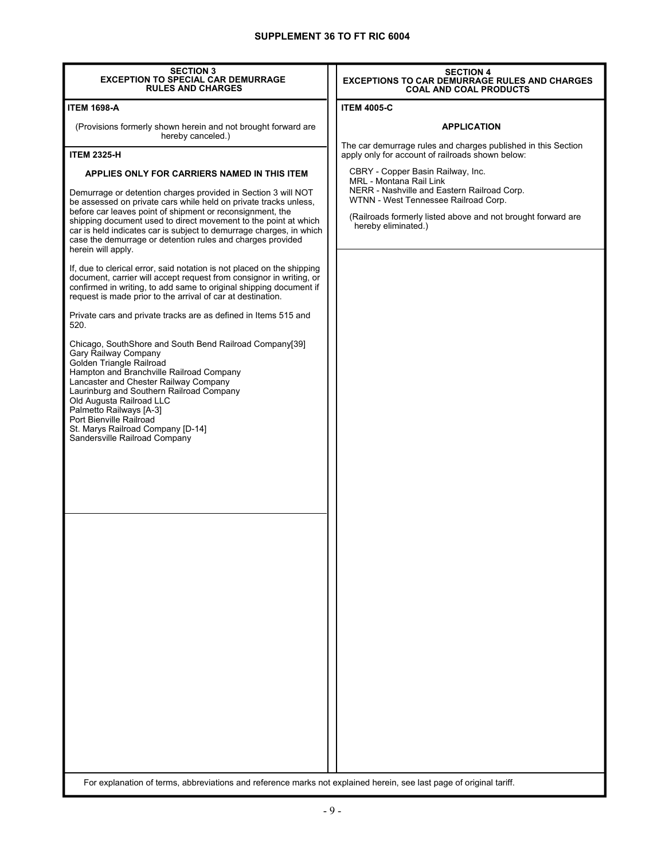| <b>SECTION 3</b><br>EXCEPTION TO SPECIAL CAR DEMURRAGE<br><b>RULES AND CHARGES</b>                                                                                                                                                                                                                                                                                                                                                                                           | <b>SECTION 4</b><br><b>EXCEPTIONS TO CAR DEMURRAGE RULES AND CHARGES</b><br><b>COAL AND COAL PRODUCTS</b>                                                                                                                                  |  |  |
|------------------------------------------------------------------------------------------------------------------------------------------------------------------------------------------------------------------------------------------------------------------------------------------------------------------------------------------------------------------------------------------------------------------------------------------------------------------------------|--------------------------------------------------------------------------------------------------------------------------------------------------------------------------------------------------------------------------------------------|--|--|
| <b>ITEM 1698-A</b>                                                                                                                                                                                                                                                                                                                                                                                                                                                           | <b>ITEM 4005-C</b>                                                                                                                                                                                                                         |  |  |
| (Provisions formerly shown herein and not brought forward are<br>hereby canceled.)                                                                                                                                                                                                                                                                                                                                                                                           | <b>APPLICATION</b>                                                                                                                                                                                                                         |  |  |
| <b>ITEM 2325-H</b>                                                                                                                                                                                                                                                                                                                                                                                                                                                           | The car demurrage rules and charges published in this Section<br>apply only for account of railroads shown below:                                                                                                                          |  |  |
| APPLIES ONLY FOR CARRIERS NAMED IN THIS ITEM<br>Demurrage or detention charges provided in Section 3 will NOT<br>be assessed on private cars while held on private tracks unless,<br>before car leaves point of shipment or reconsignment, the<br>shipping document used to direct movement to the point at which<br>car is held indicates car is subject to demurrage charges, in which<br>case the demurrage or detention rules and charges provided<br>herein will apply. | CBRY - Copper Basin Railway, Inc.<br>MRL - Montana Rail Link<br>NERR - Nashville and Eastern Railroad Corp.<br>WTNN - West Tennessee Railroad Corp.<br>(Railroads formerly listed above and not brought forward are<br>hereby eliminated.) |  |  |
| If, due to clerical error, said notation is not placed on the shipping<br>document, carrier will accept request from consignor in writing, or<br>confirmed in writing, to add same to original shipping document if<br>request is made prior to the arrival of car at destination.                                                                                                                                                                                           |                                                                                                                                                                                                                                            |  |  |
| Private cars and private tracks are as defined in Items 515 and<br>520.                                                                                                                                                                                                                                                                                                                                                                                                      |                                                                                                                                                                                                                                            |  |  |
| Chicago, SouthShore and South Bend Railroad Company[39]<br>Gary Railway Company<br>Golden Triangle Railroad<br>Hampton and Branchville Railroad Company<br>Lancaster and Chester Railway Company<br>Laurinburg and Southern Railroad Company<br>Old Augusta Railroad LLC<br>Palmetto Railways [A-3]<br>Port Bienville Railroad<br>St. Marys Railroad Company [D-14]<br>Sandersville Railroad Company                                                                         |                                                                                                                                                                                                                                            |  |  |
|                                                                                                                                                                                                                                                                                                                                                                                                                                                                              |                                                                                                                                                                                                                                            |  |  |
|                                                                                                                                                                                                                                                                                                                                                                                                                                                                              |                                                                                                                                                                                                                                            |  |  |
| For explanation of terms, abbreviations and reference marks not explained herein, see last page of original tariff.                                                                                                                                                                                                                                                                                                                                                          |                                                                                                                                                                                                                                            |  |  |